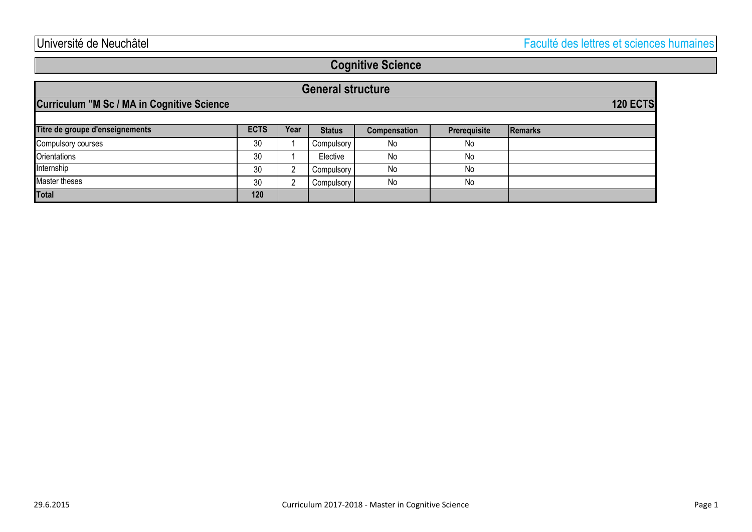# **Cognitive Science**

| <b>General structure</b>                          |      |      |               |                     |              |                 |  |
|---------------------------------------------------|------|------|---------------|---------------------|--------------|-----------------|--|
| <b>Curriculum "M Sc / MA in Cognitive Science</b> |      |      |               |                     |              | <b>120 ECTS</b> |  |
| Titre de groupe d'enseignements                   | ECTS | Year | <b>Status</b> | <b>Compensation</b> | Prerequisite | <b>Remarks</b>  |  |
| Compulsory courses                                | 30   |      | Compulsory    | No                  | No           |                 |  |
| <b>Orientations</b>                               | 30   |      | Elective      | No                  | No           |                 |  |
| Internship                                        | 30   | ົ    | Compulsory    | No                  | No           |                 |  |
| Master theses                                     | 30   | ົ    | Compulsory    | No                  | No           |                 |  |
| <b>Total</b>                                      | 120  |      |               |                     |              |                 |  |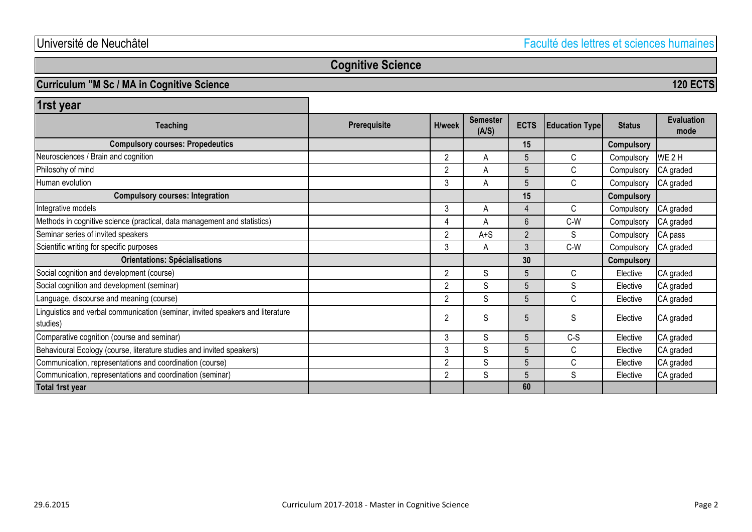**120 ECTS**

# **Cognitive Science**

### **Curriculum "M Sc / MA in Cognitive Science**

**15 Compulsory** 2 A 5 C Compulsory WE2H 2 | A | 5 | C | Compulsory CA graded 3 A 5 C Compulsory CA graded **15 Compulsory** 3 | A | 4 | C | Compulsory CA graded 4 A 6 C-W Compulsory CA graded 2 | A+S | 2 | S | Compulsory CA pass 3 A 3 C-W Compulsory CA graded **30 Compulsory** 2 S 5 C Elective CA graded 2 S S S S Elective CA graded 2 S 5 C Elective CA graded 2 S S S S Elective CA graded 3 S 5 C-S Elective CA graded 3 S 5 C Elective CA graded 2 S 5 C Elective CA graded 2 S 5 S Elective CA graded **60** Social cognition and development (course) Neurosciences / Brain and cognition **Orientations: Spécialisations Semester (A/S) 1rst year Education Type Status Evaluation mode Compulsory courses: Integration Prerequisite H/week** Human evolution Philosohy of mind **ECTS Compulsory courses: Propedeutics Teaching** Methods in cognitive science (practical, data management and statistics) Seminar series of invited speakers Linguistics and verbal communication (seminar, invited speakers and literature studies) Language, discourse and meaning (course) Comparative cognition (course and seminar) Behavioural Ecology (course, literature studies and invited speakers) Communication, representations and coordination (course) Social cognition and development (seminar) Integrative models Scientific writing for specific purposes **Total 1rst year** Communication, representations and coordination (seminar)